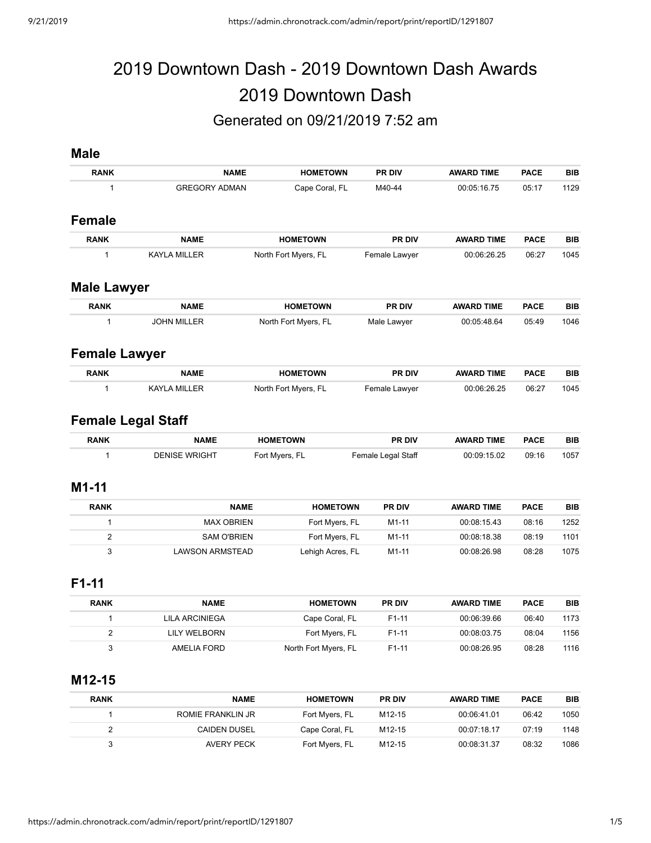# 2019 Downtown Dash - 2019 Downtown Dash Awards 2019 Downtown Dash Generated on 09/21/2019 7:52 am

## **Male**

| <b>RANK</b>               | <b>NAME</b>          | <b>HOMETOWN</b>      | PR DIV             | <b>AWARD TIME</b> | <b>PACE</b> | <b>BIB</b> |
|---------------------------|----------------------|----------------------|--------------------|-------------------|-------------|------------|
| 1                         | <b>GREGORY ADMAN</b> | Cape Coral, FL       | M40-44             | 00:05:16.75       | 05:17       | 1129       |
| <b>Female</b>             |                      |                      |                    |                   |             |            |
| <b>RANK</b>               | <b>NAME</b>          | <b>HOMETOWN</b>      | PR DIV             | <b>AWARD TIME</b> | <b>PACE</b> | <b>BIB</b> |
| 1                         | <b>KAYLA MILLER</b>  | North Fort Myers, FL | Female Lawyer      | 00:06:26.25       | 06:27       | 1045       |
| <b>Male Lawyer</b>        |                      |                      |                    |                   |             |            |
| <b>RANK</b>               | <b>NAME</b>          | <b>HOMETOWN</b>      | PR DIV             | <b>AWARD TIME</b> | <b>PACE</b> | <b>BIB</b> |
| 1                         | <b>JOHN MILLER</b>   | North Fort Myers, FL | Male Lawyer        | 00:05:48.64       | 05:49       | 1046       |
| <b>Female Lawyer</b>      |                      |                      |                    |                   |             |            |
| <b>RANK</b>               | <b>NAME</b>          | <b>HOMETOWN</b>      | PR DIV             | <b>AWARD TIME</b> | <b>PACE</b> | <b>BIB</b> |
| 1                         | <b>KAYLA MILLER</b>  | North Fort Myers, FL | Female Lawyer      | 00:06:26.25       | 06:27       | 1045       |
| <b>Female Legal Staff</b> |                      |                      |                    |                   |             |            |
| <b>RANK</b>               | <b>NAME</b>          | <b>HOMETOWN</b>      | <b>PR DIV</b>      | <b>AWARD TIME</b> | <b>PACE</b> | <b>BIB</b> |
| 1                         | <b>DENISE WRIGHT</b> | Fort Myers, FL       | Female Legal Staff | 00:09:15.02       | 09:16       | 1057       |
| $M1-11$                   |                      |                      |                    |                   |             |            |
| <b>RANK</b>               | <b>NAME</b>          | <b>HOMETOWN</b>      | <b>PR DIV</b>      | <b>AWARD TIME</b> | <b>PACE</b> | <b>BIB</b> |
| $\mathbf{1}$              | <b>MAX OBRIEN</b>    | Fort Myers, FL       | $M1-11$            | 00:08:15.43       | 08:16       | 1252       |
| $\overline{2}$            | <b>SAM O'BRIEN</b>   | Fort Myers, FL       | M1-11              | 00:08:18.38       | 08:19       | 1101       |

#### **F1-11**

| <b>BIB</b> | <b>PACE</b> | <b>AWARD TIME</b> | <b>PR DIV</b>      | <b>HOMETOWN</b>      | <b>NAME</b>    | <b>RANK</b> |
|------------|-------------|-------------------|--------------------|----------------------|----------------|-------------|
| 1173       | 06:40       | 00:06:39.66       | F <sub>1</sub> -11 | Cape Coral, FL       | LILA ARCINIEGA |             |
| 1156       | 08:04       | 00:08:03.75       | F <sub>1</sub> -11 | Fort Myers, FL       | LILY WELBORN   |             |
| 1116       | 08:28       | 00:08:26.95       | F <sub>1</sub> -11 | North Fort Myers, FL | AMELIA FORD    |             |

3 LAWSON ARMSTEAD Lehigh Acres, FL M1-11 00:08:26.98 08:28 1075

## **M12-15**

| <b>RANK</b> | <b>NAME</b>         | <b>HOMETOWN</b> | <b>PR DIV</b>      | <b>AWARD TIME</b> | <b>PACE</b> | BIB  |
|-------------|---------------------|-----------------|--------------------|-------------------|-------------|------|
|             | ROMIE FRANKLIN JR   | Fort Myers, FL  | M12-15             | 00:06:41.01       | 06:42       | 1050 |
|             | <b>CAIDEN DUSEL</b> | Cape Coral, FL  | M <sub>12-15</sub> | 00:07:18.17       | 07:19       | 1148 |
|             | AVERY PECK          | Fort Myers, FL  | M <sub>12-15</sub> | 00:08:31.37       | 08:32       | 1086 |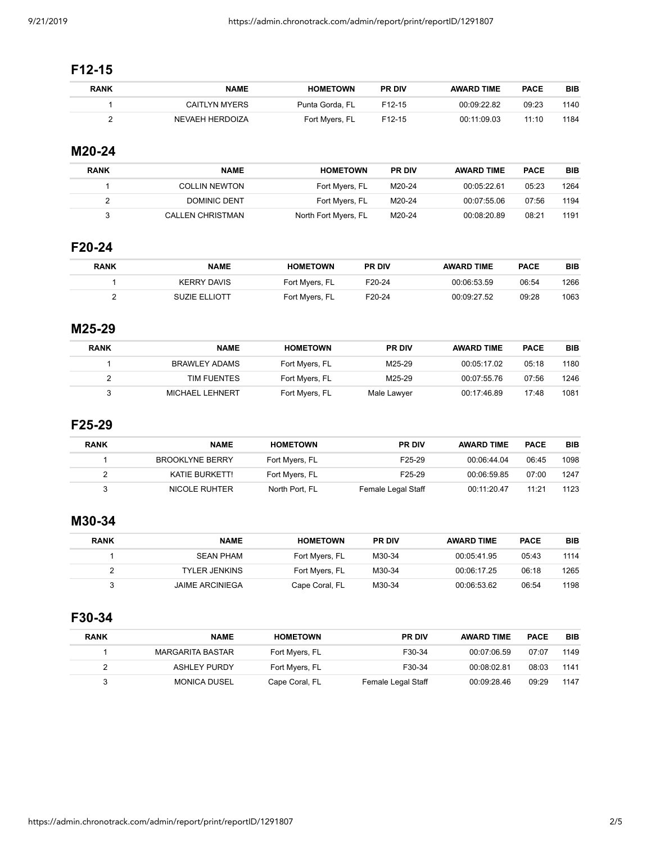# **F12-15**

| <b>RANK</b> | <b>NAME</b>     | <b>HOMETOWN</b> | <b>PR DIV</b>       | <b>AWARD TIME</b> | <b>PACE</b> | BIB  |
|-------------|-----------------|-----------------|---------------------|-------------------|-------------|------|
|             | CAITLYN MYERS   | Punta Gorda, FL | F <sub>12</sub> -15 | 00:09:22.82       | 09:23       | 1140 |
|             | NEVAEH HERDOIZA | Fort Mvers, FL  | F <sub>12</sub> -15 | 00:11:09.03       | 11:10       | 1184 |

# **M20-24**

| <b>RANK</b> | <b>NAME</b>          | <b>HOMETOWN</b>      | <b>PR DIV</b> | <b>AWARD TIME</b> | <b>PACE</b> | BIB  |
|-------------|----------------------|----------------------|---------------|-------------------|-------------|------|
|             | <b>COLLIN NEWTON</b> | Fort Myers, FL       | M20-24        | 00:05:22.61       | 05:23       | 1264 |
|             | DOMINIC DENT         | Fort Mvers, FL       | M20-24        | 00:07:55.06       | 07:56       | 1194 |
|             | CALLEN CHRISTMAN     | North Fort Myers, FL | M20-24        | 00:08:20.89       | 08:21       | 1191 |

# **F20-24**

| BIB  | <b>PACE</b> | <b>AWARD TIME</b> | <b>PR DIV</b>       | <b>HOMETOWN</b> | <b>NAME</b>          | <b>RANK</b> |
|------|-------------|-------------------|---------------------|-----------------|----------------------|-------------|
| 1266 | 06:54       | 00:06:53.59       | F <sub>20</sub> -24 | Fort Myers, FL  | <b>KERRY DAVIS</b>   |             |
| 1063 | 09:28       | 00:09:27.52       | F20-24              | Fort Mvers, FL  | <b>SUZIE ELLIOTT</b> |             |

## **M25-29**

| <b>RANK</b> | <b>NAME</b>     | <b>HOMETOWN</b> | <b>PR DIV</b> | <b>AWARD TIME</b> | <b>PACE</b> | <b>BIB</b> |
|-------------|-----------------|-----------------|---------------|-------------------|-------------|------------|
|             | BRAWLEY ADAMS   | Fort Myers, FL  | M25-29        | 00:05:17.02       | 05:18       | 1180       |
|             | TIM FUENTES     | Fort Myers, FL  | M25-29        | 00:07:55.76       | 07:56       | 1246       |
|             | MICHAEL LEHNERT | Fort Myers, FL  | Male Lawyer   | 00:17:46.89       | 17:48       | 1081       |

## **F25-29**

| <b>RANK</b> | <b>NAME</b>            | <b>HOMETOWN</b> | <b>PR DIV</b>       | <b>AWARD TIME</b> | <b>PACE</b> | <b>BIB</b> |
|-------------|------------------------|-----------------|---------------------|-------------------|-------------|------------|
|             | <b>BROOKLYNE BERRY</b> | Fort Myers, FL  | F <sub>25</sub> -29 | 00:06:44.04       | 06:45       | 1098       |
|             | KATIE BURKETT!         | Fort Myers, FL  | F <sub>25</sub> -29 | 00:06:59.85       | 07:00       | 1247       |
|             | NICOLE RUHTER          | North Port. FL  | Female Legal Staff  | 00:11:20.47       | 11:21       | 1123       |

# **M30-34**

| <b>RANK</b> | <b>NAME</b>            | <b>HOMETOWN</b> | <b>PR DIV</b> | <b>AWARD TIME</b> | <b>PACE</b> | <b>BIB</b> |
|-------------|------------------------|-----------------|---------------|-------------------|-------------|------------|
|             | <b>SEAN PHAM</b>       | Fort Myers, FL  | M30-34        | 00:05:41.95       | 05:43       | 1114       |
|             | TYLER JENKINS          | Fort Myers, FL  | M30-34        | 00:06:17.25       | 06:18       | 1265       |
|             | <b>JAIME ARCINIEGA</b> | Cape Coral, FL  | M30-34        | 00:06:53.62       | 06:54       | 1198       |

# **F30-34**

| <b>RANK</b> | <b>NAME</b>         | <b>HOMETOWN</b> | <b>PR DIV</b>      | <b>AWARD TIME</b> | <b>PACE</b> | <b>BIB</b> |
|-------------|---------------------|-----------------|--------------------|-------------------|-------------|------------|
|             | MARGARITA BASTAR    | Fort Myers, FL  | F30-34             | 00:07:06.59       | 07:07       | 1149       |
|             | <b>ASHLEY PURDY</b> | Fort Myers, FL  | F30-34             | 00:08:02.81       | 08:03       | 1141       |
|             | <b>MONICA DUSEL</b> | Cape Coral, FL  | Female Legal Staff | 00:09:28.46       | 09:29       | 1147       |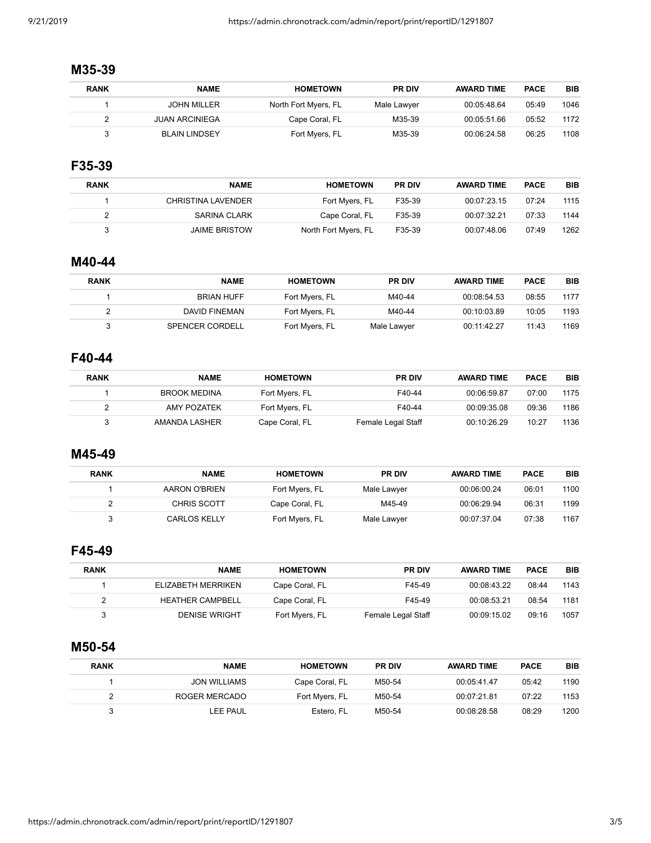### **M35-39**

| BIB  | <b>PACE</b> | <b>AWARD TIME</b> | <b>PR DIV</b> | <b>HOMETOWN</b>      | <b>NAME</b>           | <b>RANK</b> |
|------|-------------|-------------------|---------------|----------------------|-----------------------|-------------|
| 1046 | 05:49       | 00:05:48.64       | Male Lawyer   | North Fort Myers, FL | <b>JOHN MILLER</b>    |             |
| 1172 | 05:52       | 00:05:51.66       | M35-39        | Cape Coral, FL       | <b>JUAN ARCINIEGA</b> |             |
| 1108 | 06:25       | 00:06:24.58       | M35-39        | Fort Myers, FL       | <b>BLAIN LINDSEY</b>  |             |

# **F35-39**

| <b>RANK</b> | <b>NAME</b>          | <b>HOMETOWN</b>      | <b>PR DIV</b> | <b>AWARD TIME</b> | <b>PACE</b> | <b>BIB</b> |
|-------------|----------------------|----------------------|---------------|-------------------|-------------|------------|
|             | CHRISTINA LAVENDER   | Fort Myers, FL       | F35-39        | 00:07:23.15       | 07:24       | 1115       |
|             | SARINA CLARK         | Cape Coral, FL       | F35-39        | 00:07:32.21       | 07:33       | 1144       |
|             | <b>JAIME BRISTOW</b> | North Fort Myers, FL | F35-39        | 00:07:48.06       | 07:49       | 1262       |

#### **M40-44**

| <b>RANK</b> | <b>NAME</b>       | <b>HOMETOWN</b> | <b>PR DIV</b> | <b>AWARD TIME</b> | <b>PACE</b> | BIB  |
|-------------|-------------------|-----------------|---------------|-------------------|-------------|------|
|             | <b>BRIAN HUFF</b> | Fort Myers, FL  | M40-44        | 00:08:54.53       | 08:55       | 1177 |
|             | DAVID FINEMAN     | Fort Myers, FL  | M40-44        | 00:10:03.89       | 10:05       | 1193 |
|             | SPENCER CORDELL   | Fort Myers, FL  | Male Lawyer   | 00:11:42.27       | 11:43       | 1169 |

# **F40-44**

| <b>RANK</b> | <b>NAME</b>         | <b>HOMETOWN</b> | <b>PR DIV</b>      | <b>AWARD TIME</b> | <b>PACE</b> | <b>BIB</b> |
|-------------|---------------------|-----------------|--------------------|-------------------|-------------|------------|
|             | <b>BROOK MEDINA</b> | Fort Myers, FL  | F40-44             | 00:06:59.87       | 07:00       | 1175       |
|             | AMY POZATEK         | Fort Myers, FL  | F40-44             | 00:09:35.08       | 09:36       | 1186       |
|             | AMANDA LASHER       | Cape Coral, FL  | Female Legal Staff | 00:10:26.29       | 10:27       | 1136       |

#### **M45-49**

| RANK | <b>NAME</b>   | <b>HOMETOWN</b> | <b>PR DIV</b> | <b>AWARD TIME</b> | <b>PACE</b> | <b>BIB</b> |
|------|---------------|-----------------|---------------|-------------------|-------------|------------|
|      | AARON O'BRIEN | Fort Myers, FL  | Male Lawyer   | 00:06:00.24       | 06:01       | 1100       |
|      | CHRIS SCOTT   | Cape Coral, FL  | M45-49        | 00:06:29.94       | 06:31       | 1199       |
|      | CARLOS KELLY  | Fort Myers, FL  | Male Lawyer   | 00:07:37.04       | 07:38       | 1167       |

# **F45-49**

| BIB  | <b>PACE</b> | <b>AWARD TIME</b> | <b>PR DIV</b>      | <b>HOMETOWN</b> | <b>NAME</b>             | <b>RANK</b> |
|------|-------------|-------------------|--------------------|-----------------|-------------------------|-------------|
| 1143 | 08:44       | 00:08:43.22       | F45-49             | Cape Coral, FL  | ELIZABETH MERRIKEN      |             |
| 1181 | 08:54       | 00:08:53.21       | F45-49             | Cape Coral, FL  | <b>HEATHER CAMPBELL</b> |             |
| 1057 | 09:16       | 00:09:15.02       | Female Legal Staff | Fort Myers, FL  | <b>DENISE WRIGHT</b>    |             |

# **M50-54**

| <b>RANK</b> | <b>NAME</b>         | <b>HOMETOWN</b> | <b>PR DIV</b> | <b>AWARD TIME</b> | <b>PACE</b> | <b>BIB</b> |
|-------------|---------------------|-----------------|---------------|-------------------|-------------|------------|
|             | <b>JON WILLIAMS</b> | Cape Coral, FL  | M50-54        | 00:05:41.47       | 05:42       | 1190       |
|             | ROGER MERCADO       | Fort Myers, FL  | M50-54        | 00:07:21.81       | 07:22       | 1153       |
|             | LEE PAUL            | Estero, FL      | M50-54        | 00:08:28.58       | 08:29       | 1200       |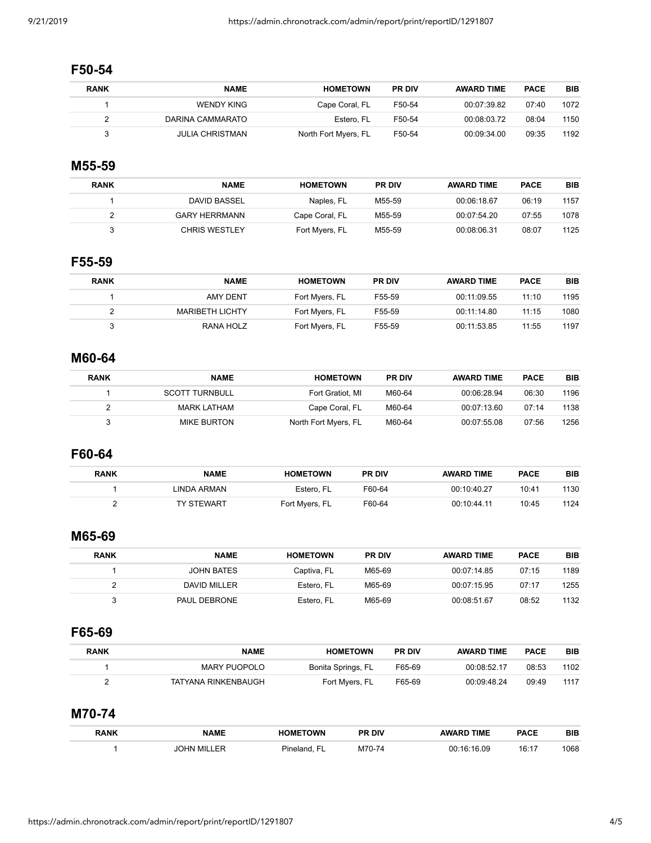### **F50-54**

| <b>RANK</b> | <b>NAME</b>            | <b>HOMETOWN</b>      | <b>PR DIV</b> | <b>AWARD TIME</b> | <b>PACE</b> | BIB  |
|-------------|------------------------|----------------------|---------------|-------------------|-------------|------|
|             | WENDY KING             | Cape Coral, FL       | F50-54        | 00:07:39.82       | 07:40       | 1072 |
|             | DARINA CAMMARATO       | Estero. FL           | F50-54        | 00:08:03.72       | 08:04       | 1150 |
|             | <b>JULIA CHRISTMAN</b> | North Fort Myers, FL | F50-54        | 00:09:34.00       | 09:35       | 1192 |

# **M55-59**

| <b>RANK</b> | <b>NAME</b>          | <b>HOMETOWN</b> | <b>PR DIV</b> | <b>AWARD TIME</b> | <b>PACE</b> | <b>BIB</b> |
|-------------|----------------------|-----------------|---------------|-------------------|-------------|------------|
|             | DAVID BASSEL         | Naples, FL      | M55-59        | 00:06:18.67       | 06:19       | 1157       |
|             | <b>GARY HERRMANN</b> | Cape Coral, FL  | M55-59        | 00:07:54.20       | 07:55       | 1078       |
|             | <b>CHRIS WESTLEY</b> | Fort Myers, FL  | M55-59        | 00:08:06.31       | 08:07       | 1125       |

#### **F55-59**

| <b>RANK</b> | <b>NAME</b>            | <b>HOMETOWN</b> | <b>PR DIV</b> | <b>AWARD TIME</b> | <b>PACE</b> | <b>BIB</b> |
|-------------|------------------------|-----------------|---------------|-------------------|-------------|------------|
|             | AMY DENT               | Fort Myers, FL  | F55-59        | 00:11:09.55       | 11:10       | 1195       |
|             | <b>MARIBETH LICHTY</b> | Fort Myers, FL  | F55-59        | 00:11:14.80       | 11:15       | 1080       |
|             | RANA HOLZ              | Fort Myers, FL  | F55-59        | 00:11:53.85       | 11:55       | 1197       |

# **M60-64**

| <b>BIB</b> | <b>PACE</b> | <b>AWARD TIME</b> | <b>PR DIV</b> | <b>HOMETOWN</b>      | <b>NAME</b>           | <b>RANK</b> |
|------------|-------------|-------------------|---------------|----------------------|-----------------------|-------------|
| 1196       | 06:30       | 00:06:28.94       | M60-64        | Fort Gratiot, MI     | <b>SCOTT TURNBULL</b> |             |
| 1138       | 07:14       | 00:07:13.60       | M60-64        | Cape Coral, FL       | MARK LATHAM           |             |
| 1256       | 07:56       | 00:07:55.08       | M60-64        | North Fort Myers, FL | <b>MIKE BURTON</b>    |             |

## **F60-64**

| <b>RANK</b> | NAME              | <b>HOMETOWN</b> | <b>PR DIV</b> | <b>AWARD TIME</b> | <b>PACE</b> | BIB  |
|-------------|-------------------|-----------------|---------------|-------------------|-------------|------|
|             | LINDA ARMAN       | Estero. FL      | F60-64        | 00:10:40.27       | 10:41       | 1130 |
|             | <b>TY STEWART</b> | Fort Myers, FL  | F60-64        | 00:10:44.11       | 10:45       | 1124 |

# **M65-69**

| <b>BIB</b> | <b>PACE</b> | <b>AWARD TIME</b> | <b>PR DIV</b> | <b>HOMETOWN</b> | NAME         | <b>RANK</b> |
|------------|-------------|-------------------|---------------|-----------------|--------------|-------------|
| 1189       | 07:15       | 00:07:14.85       | M65-69        | Captiva, FL     | JOHN BATES   |             |
| 1255       | 07:17       | 00:07:15.95       | M65-69        | Estero. FL      | DAVID MILLER |             |
| 1132       | 08:52       | 00:08:51.67       | M65-69        | Estero, FL      | PAUL DEBRONE |             |

### **F65-69**

| <b>RANK</b> | <b>NAME</b>         | <b>HOMETOWN</b>    | <b>PR DIV</b> | <b>AWARD TIME</b> | <b>PACE</b> | <b>BIB</b> |
|-------------|---------------------|--------------------|---------------|-------------------|-------------|------------|
|             | MARY PUOPOLO        | Bonita Springs, FL | F65-69        | 00:08:52.17       | 08:53       | 1102       |
|             | TATYANA RINKENBAUGH | Fort Myers, FL     | F65-69        | 00:09:48.24       | 09:49       | 1117       |

## **M70-74**

| <b>RANK</b> | <b>NAME</b> | <b>METOWN</b> | DIV<br>РF | <b>TIME</b> | PACE           | <b>BIB</b> |
|-------------|-------------|---------------|-----------|-------------|----------------|------------|
|             | MIL<br>៶∟៲៱ |               | M         |             | 16.47<br>IV. I | 1068       |